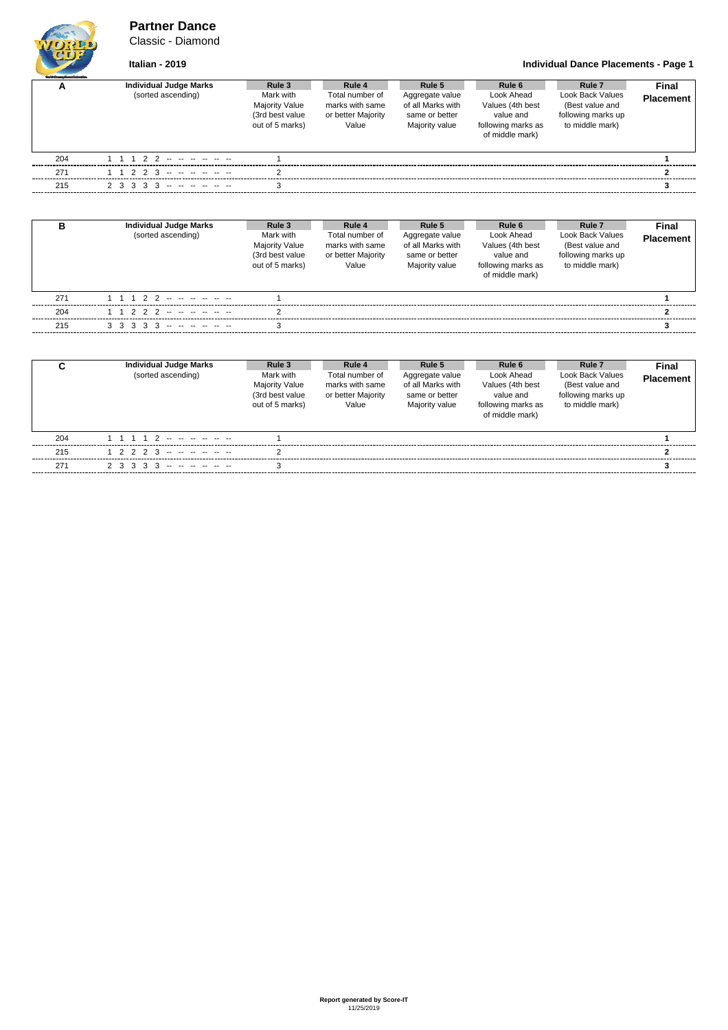### **Partner Dance** Classic - Diamond

## **Italian - 2019 Individual Dance Placements - Page 1**

| <b>Guild Gauge Dance Adventise</b> |                               |                                                                   |                                                                   |                                                                          |                                                                                      |                                                                              |                  |
|------------------------------------|-------------------------------|-------------------------------------------------------------------|-------------------------------------------------------------------|--------------------------------------------------------------------------|--------------------------------------------------------------------------------------|------------------------------------------------------------------------------|------------------|
| <u>r</u>                           | <b>Individual Judge Marks</b> | Rule 3                                                            | Rule 4                                                            | Rule 5                                                                   | Rule 6                                                                               | Rule <sub>7</sub>                                                            | Final            |
|                                    | (sorted ascending)            | Mark with<br>Majority Value<br>(3rd best value<br>out of 5 marks) | Total number of<br>marks with same<br>or better Majority<br>Value | Aggregate value<br>of all Marks with<br>same or better<br>Majority value | Look Ahead<br>Values (4th best<br>value and<br>following marks as<br>of middle mark) | Look Back Values<br>(Best value and<br>following marks up<br>to middle mark) | <b>Placement</b> |
| 204                                | 1 1 1 2 2 -- -- -- -- --      |                                                                   |                                                                   |                                                                          |                                                                                      |                                                                              |                  |
| 271                                | $1 1 2 2 3 - - - - - - -$     |                                                                   |                                                                   |                                                                          |                                                                                      |                                                                              |                  |
| 215                                | $2$ 3 3 3 3 - - - - - - -     |                                                                   |                                                                   |                                                                          |                                                                                      |                                                                              |                  |

| в   | <b>Individual Judge Marks</b><br>(sorted ascending) | Rule 3<br>Mark with<br><b>Majority Value</b><br>(3rd best value<br>out of 5 marks) | Rule 4<br>Total number of<br>marks with same<br>or better Majority<br>Value | Rule 5<br>Aggregate value<br>of all Marks with<br>same or better<br>Majority value | Rule 6<br>Look Ahead<br>Values (4th best<br>value and<br>following marks as<br>of middle mark) | Rule <sub>7</sub><br>Look Back Values<br>(Best value and<br>following marks up<br>to middle mark) | Final<br><b>Placement</b> |
|-----|-----------------------------------------------------|------------------------------------------------------------------------------------|-----------------------------------------------------------------------------|------------------------------------------------------------------------------------|------------------------------------------------------------------------------------------------|---------------------------------------------------------------------------------------------------|---------------------------|
| 271 | $1 1 1 2 2 - - - - - - - -$                         |                                                                                    |                                                                             |                                                                                    |                                                                                                |                                                                                                   |                           |
| 204 | 1 1 2 2 2 -- -- -- -- --                            |                                                                                    |                                                                             |                                                                                    |                                                                                                |                                                                                                   |                           |
| 215 | $3$ $3$ $3$ $3$ $3$ $3$ $      -$                   |                                                                                    |                                                                             |                                                                                    |                                                                                                |                                                                                                   |                           |

| <b>Individual Judge Marks</b><br>(sorted ascending) | Rule 3<br>Mark with<br><b>Majority Value</b><br>(3rd best value<br>out of 5 marks) | Rule 4<br>Total number of<br>marks with same<br>or better Majority<br>Value | Rule 5<br>Aggregate value<br>of all Marks with<br>same or better<br>Majority value | Rule 6<br>Look Ahead<br>Values (4th best<br>value and<br>following marks as<br>of middle mark) | Rule <sub>7</sub><br>Look Back Values<br>(Best value and<br>following marks up<br>to middle mark) | Final<br>Placement |
|-----------------------------------------------------|------------------------------------------------------------------------------------|-----------------------------------------------------------------------------|------------------------------------------------------------------------------------|------------------------------------------------------------------------------------------------|---------------------------------------------------------------------------------------------------|--------------------|
| 204                                                 |                                                                                    |                                                                             |                                                                                    |                                                                                                |                                                                                                   |                    |
| 1 2 2 2 3 -- -- -- -- --<br>215                     |                                                                                    |                                                                             |                                                                                    |                                                                                                |                                                                                                   |                    |
| 271<br>$2$ 3 3 3 3 - - - - - - -                    |                                                                                    |                                                                             |                                                                                    |                                                                                                |                                                                                                   |                    |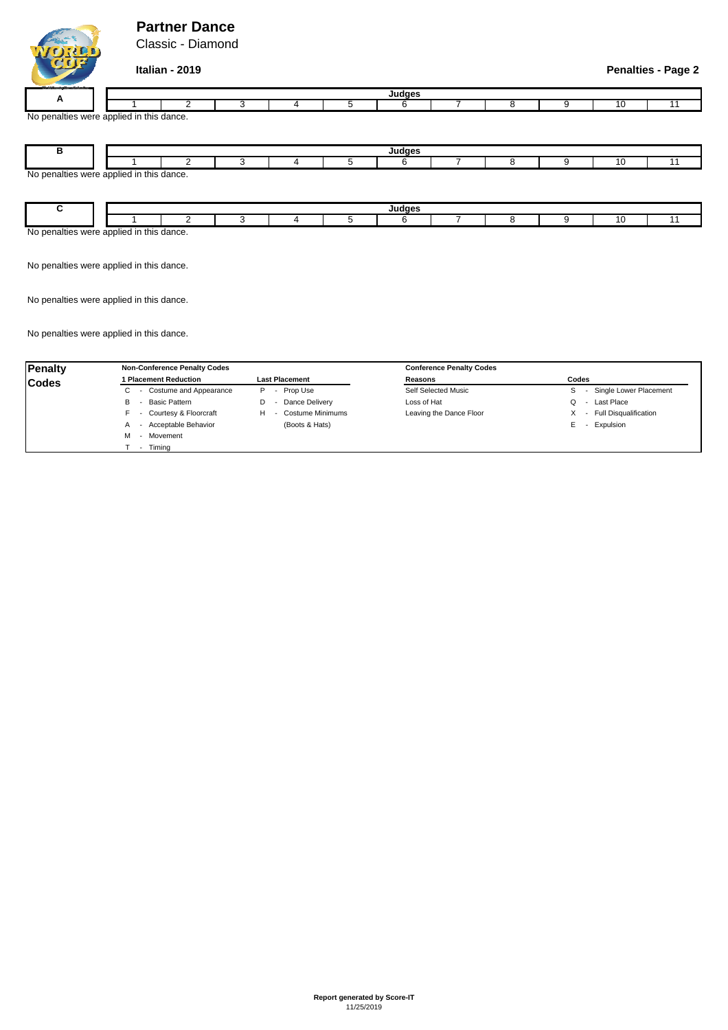## **Partner Dance**

Classic - Diamond

## **Italian - 2019 Penalties - Page 2**

| _______     |                               |  |  |          |  |  |  |
|-------------|-------------------------------|--|--|----------|--|--|--|
|             |                               |  |  | عمصامبيا |  |  |  |
| . .         |                               |  |  |          |  |  |  |
| No<br>™⊣⊞e. | s were applied in this dance. |  |  |          |  |  |  |

| ╍                                        |  | Judges |  |  |  |  |  |  |  |  |     |  |
|------------------------------------------|--|--------|--|--|--|--|--|--|--|--|-----|--|
|                                          |  |        |  |  |  |  |  |  |  |  | I C |  |
| No penalties were applied in this dance. |  |        |  |  |  |  |  |  |  |  |     |  |
|                                          |  |        |  |  |  |  |  |  |  |  |     |  |
|                                          |  |        |  |  |  |  |  |  |  |  |     |  |

|                                                                    |  |  |  |  |  |  | <b>Ludges</b><br> |  |  |  |  |  |  |
|--------------------------------------------------------------------|--|--|--|--|--|--|-------------------|--|--|--|--|--|--|
|                                                                    |  |  |  |  |  |  |                   |  |  |  |  |  |  |
| Plied in this J<br>s dance.<br>nnn<br>1110r<br>ivu<br>็นมม<br>$ -$ |  |  |  |  |  |  |                   |  |  |  |  |  |  |

No penalties were applied in this dance.

No penalties were applied in this dance.

No penalties were applied in this dance.

| <b>Penalty</b> | <b>Non-Conference Penalty Codes</b> |                              | <b>Conference Penalty Codes</b> |                                        |
|----------------|-------------------------------------|------------------------------|---------------------------------|----------------------------------------|
| <b>Codes</b>   | 1 Placement Reduction               | <b>Last Placement</b>        | Reasons                         | Codes                                  |
|                | - Costume and Appearance<br>U       | Prop Use<br>P<br>$\sim$      | Self Selected Music             | Single Lower Placement<br>$\sim$       |
|                | Basic Pattern<br>В                  | Dance Delivery               | Loss of Hat                     | Last Place<br>Q                        |
|                | - Courtesy & Floorcraft             | <b>Costume Minimums</b><br>н | Leaving the Dance Floor         | <b>Full Disqualification</b><br>$\sim$ |
|                | - Acceptable Behavior<br>A          | (Boots & Hats)               |                                 | Expulsion<br>E.                        |
|                | - Movement                          |                              |                                 |                                        |
|                | Timina                              |                              |                                 |                                        |